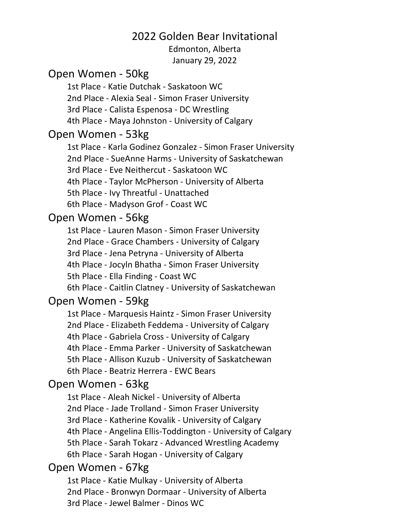### 2022 Golden Bear Invitational

Edmonton, Alberta January 29, 2022

#### Open Women - 50kg

1st Place - Katie Dutchak - Saskatoon WC 2nd Place - Alexia Seal - Simon Fraser University 3rd Place - Calista Espenosa - DC Wrestling 4th Place - Maya Johnston - University of Calgary

#### Open Women - 53kg

1st Place - Karla Godinez Gonzalez - Simon Fraser University 2nd Place - SueAnne Harms - University of Saskatchewan 3rd Place - Eve Neithercut - Saskatoon WC 4th Place - Taylor McPherson - University of Alberta 5th Place - Ivy Threatful - Unattached 6th Place - Madyson Grof - Coast WC

#### Open Women - 56kg

1st Place - Lauren Mason - Simon Fraser University 2nd Place - Grace Chambers - University of Calgary 3rd Place - Jena Petryna - University of Alberta 4th Place - Jocyln Bhatha - Simon Fraser University 5th Place - Ella Finding - Coast WC 6th Place - Caitlin Clatney - University of Saskatchewan

#### Open Women - 59kg

1st Place - Marquesis Haintz - Simon Fraser University 2nd Place - Elizabeth Feddema - University of Calgary 4th Place - Gabriela Cross - University of Calgary 4th Place - Emma Parker - University of Saskatchewan 5th Place - Allison Kuzub - University of Saskatchewan 6th Place - Beatriz Herrera - EWC Bears

#### Open Women - 63kg

1st Place - Aleah Nickel - University of Alberta 2nd Place - Jade Trolland - Simon Fraser University 3rd Place - Katherine Kovalik - University of Calgary 4th Place - Angelina Ellis-Toddington - University of Calgary 5th Place - Sarah Tokarz - Advanced Wrestling Academy 6th Place - Sarah Hogan - University of Calgary

### Open Women - 67kg

1st Place - Katie Mulkay - University of Alberta 2nd Place - Bronwyn Dormaar - University of Alberta 3rd Place - Jewel Balmer - Dinos WC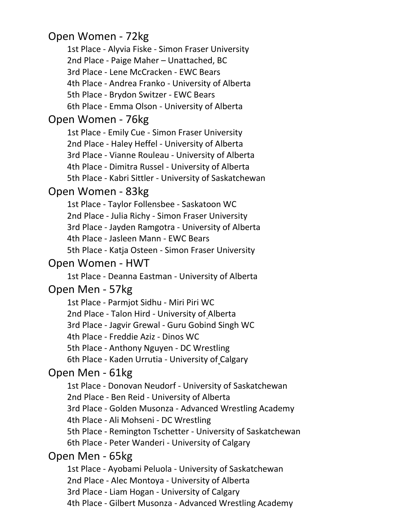# Open Women - 72kg

1st Place - Alyvia Fiske - Simon Fraser University 2nd Place - Paige Maher – Unattached, BC 3rd Place - Lene McCracken - EWC Bears 4th Place - Andrea Franko - University of Alberta 5th Place - Brydon Switzer - EWC Bears 6th Place - Emma Olson - University of Alberta

### Open Women - 76kg

1st Place - Emily Cue - Simon Fraser University 2nd Place - Haley Heffel - University of Alberta 3rd Place - Vianne Rouleau - University of Alberta 4th Place - Dimitra Russel - University of Alberta 5th Place - Kabri Sittler - University of Saskatchewan

# Open Women - 83kg

1st Place - Taylor Follensbee - Saskatoon WC 2nd Place - Julia Richy - Simon Fraser University 3rd Place - Jayden Ramgotra - University of Alberta 4th Place - Jasleen Mann - EWC Bears 5th Place - Katja Osteen - Simon Fraser University

## Open Women - HWT

1st Place - Deanna Eastman - University of Alberta

# Open Men - 57kg

1st Place - Parmjot Sidhu - Miri Piri WC 2nd Place - Talon Hird - University of Alberta 3rd Place - Jagvir Grewal - Guru Gobind Singh WC 4th Place - Freddie Aziz - Dinos WC 5th Place - Anthony Nguyen - DC Wrestling 6th Place - Kaden Urrutia - University of Calgary

# Open Men - 61kg

1st Place - Donovan Neudorf - University of Saskatchewan 2nd Place - Ben Reid - University of Alberta 3rd Place - Golden Musonza - Advanced Wrestling Academy 4th Place - Ali Mohseni - DC Wrestling 5th Place - Remington Tschetter - University of Saskatchewan 6th Place - Peter Wanderi - University of Calgary

# Open Men - 65kg

1st Place - Ayobami Peluola - University of Saskatchewan 2nd Place - Alec Montoya - University of Alberta 3rd Place - Liam Hogan - University of Calgary 4th Place - Gilbert Musonza - Advanced Wrestling Academy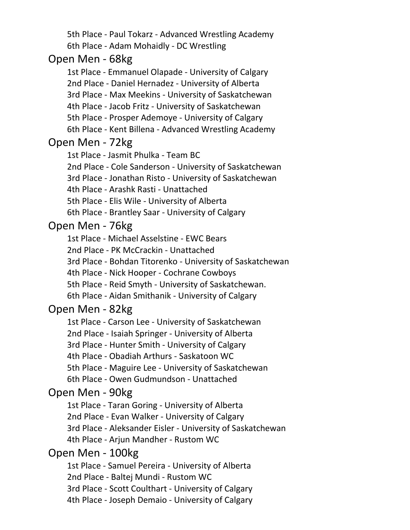5th Place - Paul Tokarz - Advanced Wrestling Academy 6th Place - Adam Mohaidly - DC Wrestling

### Open Men - 68kg

1st Place - Emmanuel Olapade - University of Calgary 2nd Place - Daniel Hernadez - University of Alberta 3rd Place - Max Meekins - University of Saskatchewan 4th Place - Jacob Fritz - University of Saskatchewan 5th Place - Prosper Ademoye - University of Calgary 6th Place - Kent Billena - Advanced Wrestling Academy

### Open Men - 72kg

1st Place - Jasmit Phulka - Team BC

2nd Place - Cole Sanderson - University of Saskatchewan

3rd Place - Jonathan Risto - University of Saskatchewan

4th Place - Arashk Rasti - Unattached

5th Place - Elis Wile - University of Alberta

6th Place - Brantley Saar - University of Calgary

## Open Men - 76kg

1st Place - Michael Asselstine - EWC Bears 2nd Place - PK McCrackin - Unattached 3rd Place - Bohdan Titorenko - University of Saskatchewan 4th Place - Nick Hooper - Cochrane Cowboys 5th Place - Reid Smyth - University of Saskatchewan. 6th Place - Aidan Smithanik - University of Calgary

# Open Men - 82kg

1st Place - Carson Lee - University of Saskatchewan 2nd Place - Isaiah Springer - University of Alberta 3rd Place - Hunter Smith - University of Calgary 4th Place - Obadiah Arthurs - Saskatoon WC 5th Place - Maguire Lee - University of Saskatchewan 6th Place - Owen Gudmundson - Unattached

# Open Men - 90kg

1st Place - Taran Goring - University of Alberta 2nd Place - Evan Walker - University of Calgary 3rd Place - Aleksander Eisler - University of Saskatchewan 4th Place - Arjun Mandher - Rustom WC

# Open Men - 100kg

1st Place - Samuel Pereira - University of Alberta 2nd Place - Baltej Mundi - Rustom WC 3rd Place - Scott Coulthart - University of Calgary 4th Place - Joseph Demaio - University of Calgary